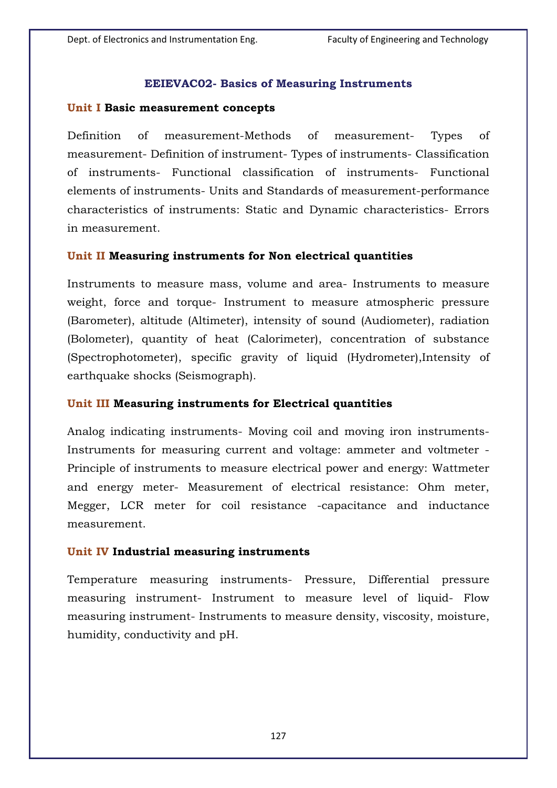### **EEIEVAC02- Basics of Measuring Instruments**

#### **Unit I Basic measurement concepts**

Definition of measurement-Methods of measurement- Types of measurement- Definition of instrument- Types of instruments- Classification of instruments- Functional classification of instruments- Functional elements of instruments- Units and Standards of measurement-performance characteristics of instruments: Static and Dynamic characteristics- Errors in measurement.

### **Unit II Measuring instruments for Non electrical quantities**

Instruments to measure mass, volume and area- Instruments to measure weight, force and torque- Instrument to measure atmospheric pressure (Barometer), altitude (Altimeter), intensity of sound (Audiometer), radiation (Bolometer), quantity of heat (Calorimeter), concentration of substance (Spectrophotometer), specific gravity of liquid (Hydrometer),Intensity of earthquake shocks (Seismograph).

### **Unit III Measuring instruments for Electrical quantities**

Analog indicating instruments- Moving coil and moving iron instruments-Instruments for measuring current and voltage: ammeter and voltmeter - Principle of instruments to measure electrical power and energy: Wattmeter and energy meter- Measurement of electrical resistance: Ohm meter, Megger, LCR meter for coil resistance -capacitance and inductance measurement.

### **Unit IV Industrial measuring instruments**

Temperature measuring instruments- Pressure, Differential pressure measuring instrument- Instrument to measure level of liquid- Flow measuring instrument- Instruments to measure density, viscosity, moisture, humidity, conductivity and pH.